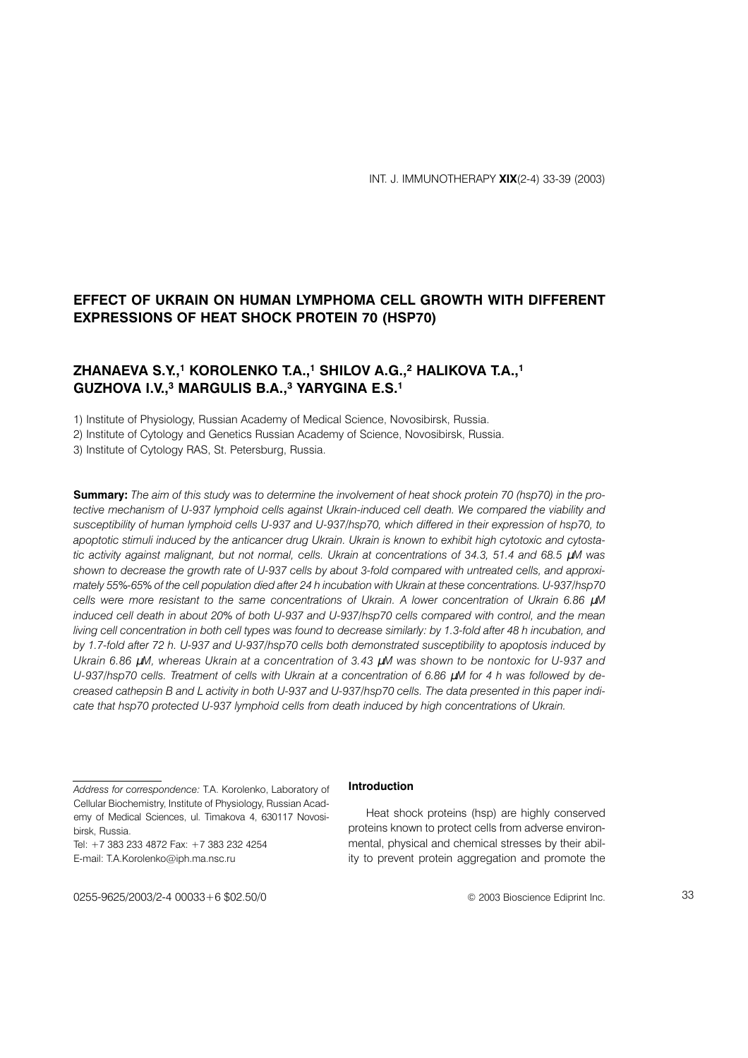# EFFECT OF UKRAIN ON HUMAN LYMPHOMA CELL GROWTH WITH DIFFERENT **EXPRESSIONS OF HEAT SHOCK PROTEIN 70 (HSP70)**

## ZHANAEVA S.Y.,<sup>1</sup> KOROLENKO T.A.,<sup>1</sup> SHILOV A.G.,<sup>2</sup> HALIKOVA T.A.,<sup>1</sup> GUZHOVA I.V..<sup>3</sup> MARGULIS B.A..<sup>3</sup> YARYGINA E.S.<sup>1</sup>

1) Institute of Physiology, Russian Academy of Medical Science, Novosibirsk, Russia.

2) Institute of Cytology and Genetics Russian Academy of Science, Novosibirsk, Russia.

3) Institute of Cytology RAS, St. Petersburg, Russia.

**Summary:** The aim of this study was to determine the involvement of heat shock protein 70 (hsp70) in the protective mechanism of U-937 lymphoid cells against Ukrain-induced cell death. We compared the viability and susceptibility of human lymphoid cells U-937 and U-937/hsp70, which differed in their expression of hsp70, to apoptotic stimuli induced by the anticancer drug Ukrain. Ukrain is known to exhibit high cytotoxic and cytostatic activity against malignant, but not normal, cells. Ukrain at concentrations of 34.3, 51.4 and 68.5 µM was shown to decrease the growth rate of U-937 cells by about 3-fold compared with untreated cells, and approximately 55%-65% of the cell population died after 24 h incubation with Ukrain at these concentrations. U-937/hsp70 cells were more resistant to the same concentrations of Ukrain. A lower concentration of Ukrain 6.86 uM induced cell death in about 20% of both U-937 and U-937/hsp70 cells compared with control, and the mean living cell concentration in both cell types was found to decrease similarly: by 1.3-fold after 48 h incubation, and by 1.7-fold after 72 h, U-937 and U-937/hsp70 cells both demonstrated susceptibility to apoptosis induced by Ukrain 6.86 µM, whereas Ukrain at a concentration of 3.43 µM was shown to be nontoxic for U-937 and U-937/hsp70 cells. Treatment of cells with Ukrain at a concentration of 6.86 µM for 4 h was followed by decreased cathepsin B and L activity in both U-937 and U-937/hsp70 cells. The data presented in this paper indicate that hsp70 protected U-937 lymphoid cells from death induced by high concentrations of Ukrain.

Tel: +7 383 233 4872 Fax: +7 383 232 4254 E-mail: T.A.Korolenko@iph.ma.nsc.ru

### Introduction

Heat shock proteins (hsp) are highly conserved proteins known to protect cells from adverse environmental, physical and chemical stresses by their ability to prevent protein aggregation and promote the

© 2003 Bioscience Ediprint Inc.

0255-9625/2003/2-4 00033+6 \$02.50/0

Address for correspondence: T.A. Korolenko, Laboratory of Cellular Biochemistry, Institute of Physiology, Russian Academy of Medical Sciences, ul. Timakova 4, 630117 Novosibirsk, Russia.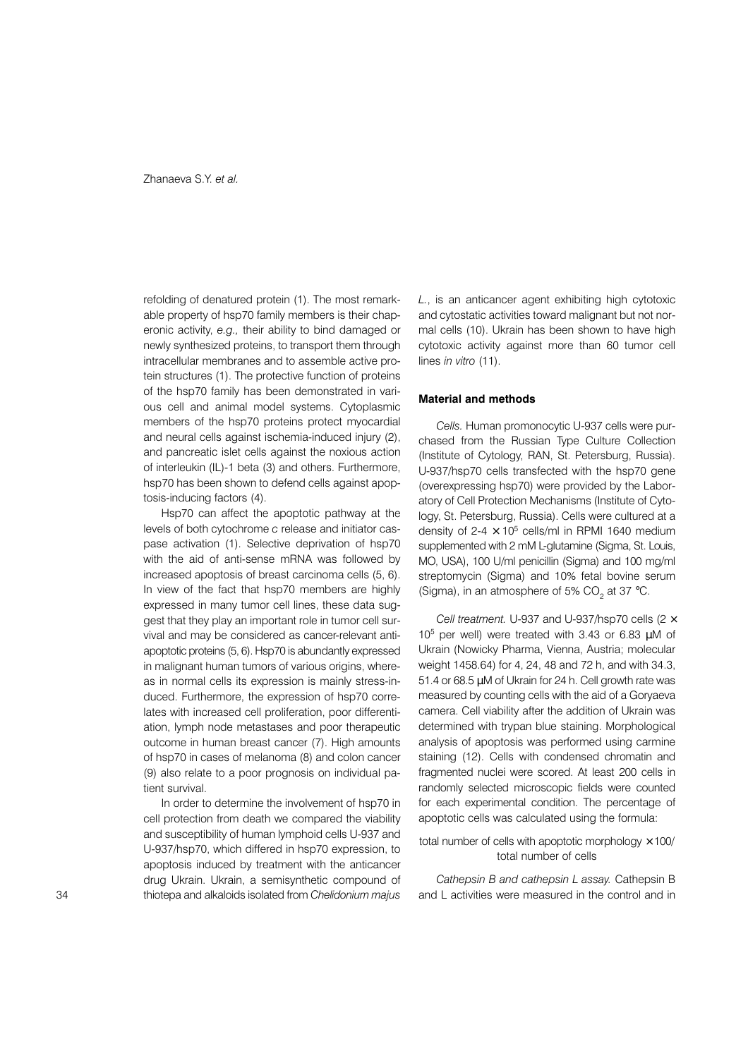refolding of denatured protein (1). The most remarkable property of hsp70 family members is their chaperonic activity, e.g., their ability to bind damaged or newly synthesized proteins, to transport them through intracellular membranes and to assemble active protein structures (1). The protective function of proteins of the hsp70 family has been demonstrated in various cell and animal model systems. Cytoplasmic members of the hsp70 proteins protect myocardial and neural cells against ischemia-induced injury (2), and pancreatic islet cells against the noxious action of interleukin (IL)-1 beta (3) and others. Furthermore, hsp70 has been shown to defend cells against apoptosis-inducing factors (4).

Hsp70 can affect the apoptotic pathway at the levels of both cytochrome c release and initiator caspase activation (1). Selective deprivation of hsp70 with the aid of anti-sense mRNA was followed by increased apoptosis of breast carcinoma cells (5, 6). In view of the fact that hsp70 members are highly expressed in many tumor cell lines, these data suggest that they play an important role in tumor cell survival and may be considered as cancer-relevant antiapoptotic proteins (5, 6). Hsp70 is abundantly expressed in malignant human tumors of various origins, whereas in normal cells its expression is mainly stress-induced. Furthermore, the expression of hsp70 correlates with increased cell proliferation, poor differentiation, lymph node metastases and poor therapeutic outcome in human breast cancer (7). High amounts of hsp70 in cases of melanoma (8) and colon cancer (9) also relate to a poor prognosis on individual patient survival

In order to determine the involvement of hsp70 in cell protection from death we compared the viability and susceptibility of human lymphoid cells U-937 and U-937/hsp70, which differed in hsp70 expression, to apoptosis induced by treatment with the anticancer drug Ukrain. Ukrain, a semisynthetic compound of thiotepa and alkaloids isolated from Chelidonium majus L., is an anticancer agent exhibiting high cytotoxic and cytostatic activities toward malignant but not normal cells (10). Ukrain has been shown to have high cytotoxic activity against more than 60 tumor cell lines in vitro (11).

#### **Material and methods**

Cells. Human promonocytic U-937 cells were purchased from the Russian Type Culture Collection (Institute of Cytology, RAN, St. Petersburg, Russia). U-937/hsp70 cells transfected with the hsp70 gene (overexpressing hsp70) were provided by the Laboratory of Cell Protection Mechanisms (Institute of Cytology, St. Petersburg, Russia). Cells were cultured at a density of  $2-4 \times 10^5$  cells/ml in RPMI 1640 medium supplemented with 2 mM L-glutamine (Sigma, St. Louis, MO, USA), 100 U/ml penicillin (Sigma) and 100 mg/ml streptomycin (Sigma) and 10% fetal bovine serum (Sigma), in an atmosphere of 5% CO<sub>2</sub> at 37 °C.

Cell treatment. U-937 and U-937/hsp70 cells ( $2 \times$ 10<sup>5</sup> per well) were treated with 3.43 or 6.83  $\mu$ M of Ukrain (Nowicky Pharma, Vienna, Austria; molecular weight 1458.64) for 4, 24, 48 and 72 h, and with 34.3, 51.4 or 68.5 µM of Ukrain for 24 h. Cell growth rate was measured by counting cells with the aid of a Goryaeva camera. Cell viability after the addition of Ukrain was determined with trypan blue staining. Morphological analysis of apoptosis was performed using carmine staining (12). Cells with condensed chromatin and fragmented nuclei were scored. At least 200 cells in randomly selected microscopic fields were counted for each experimental condition. The percentage of apoptotic cells was calculated using the formula:

#### total number of cells with apoptotic morphology  $\times$  100/ total number of cells

Cathepsin B and cathepsin L assay. Cathepsin B and L activities were measured in the control and in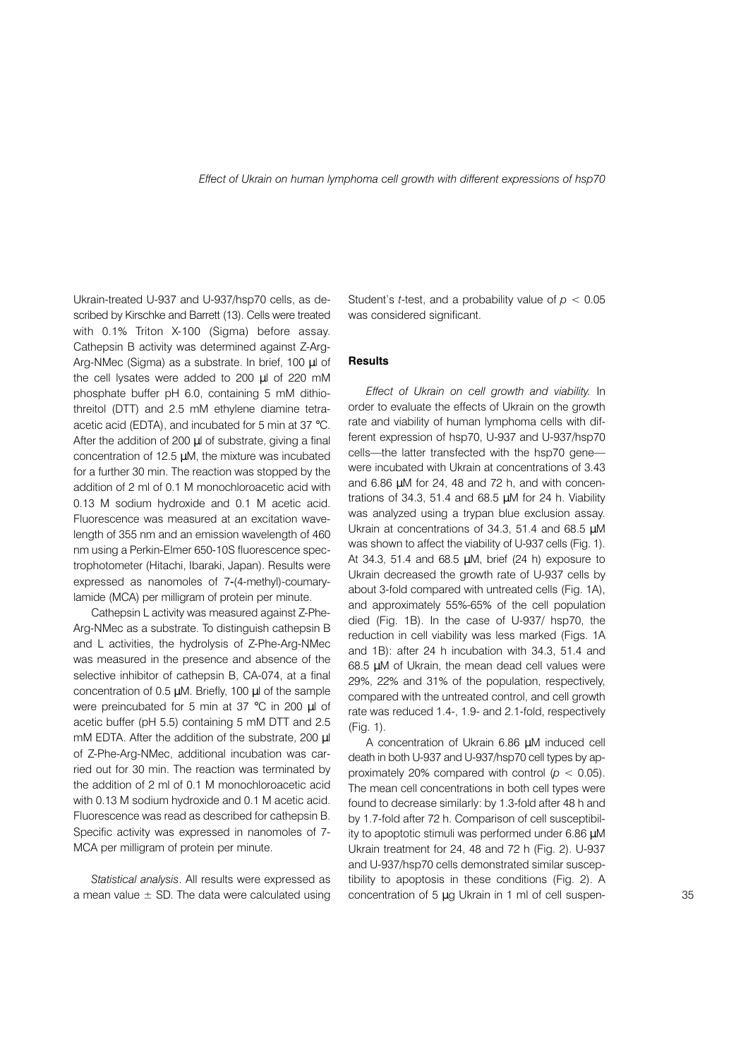Ukrain-treated U-937 and U-937/hsp70 cells, as described by Kirschke and Barrett (13). Cells were treated with 0.1% Triton X-100 (Sigma) before assay. Cathepsin B activity was determined against Z-Arg-Arg-NMec (Sigma) as a substrate. In brief, 100 µl of the cell lysates were added to 200 µl of 220 mM phosphate buffer pH 6.0, containing 5 mM dithiothreitol (DTT) and 2.5 mM ethylene diamine tetraacetic acid (EDTA), and incubated for 5 min at 37 °C. After the addition of 200 µl of substrate, giving a final concentration of 12.5 µM, the mixture was incubated for a further 30 min. The reaction was stopped by the addition of 2 ml of 0.1 M monochloroacetic acid with 0.13 M sodium hydroxide and 0.1 M acetic acid. Fluorescence was measured at an excitation wavelength of 355 nm and an emission wavelength of 460 nm using a Perkin-Elmer 650-10S fluorescence spectrophotometer (Hitachi, Ibaraki, Japan). Results were expressed as nanomoles of 7-(4-methyl)-coumarylamide (MCA) per milligram of protein per minute.

Cathepsin L activity was measured against Z-Phe-Arg-NMec as a substrate. To distinguish cathepsin B and L activities, the hydrolysis of Z-Phe-Arg-NMec was measured in the presence and absence of the selective inhibitor of cathepsin B, CA-074, at a final concentration of 0.5 µM. Briefly, 100 µl of the sample were preincubated for 5 min at 37 °C in 200 µl of acetic buffer (pH 5.5) containing 5 mM DTT and 2.5 mM EDTA. After the addition of the substrate, 200 µl of Z-Phe-Arg-NMec, additional incubation was carried out for 30 min. The reaction was terminated by the addition of 2 ml of 0.1 M monochloroacetic acid with 0.13 M sodium hydroxide and 0.1 M acetic acid. Fluorescence was read as described for cathepsin B. Specific activity was expressed in nanomoles of 7-MCA per milligram of protein per minute.

Statistical analysis. All results were expressed as a mean value  $\pm$  SD. The data were calculated using Student's *t*-test, and a probability value of  $p < 0.05$ was considered significant.

#### **Results**

Effect of Ukrain on cell growth and viability. In order to evaluate the effects of Ukrain on the growth rate and viability of human lymphoma cells with different expression of hsp70, U-937 and U-937/hsp70 cells—the latter transfected with the hsp70 gene were incubated with Ukrain at concentrations of 3.43 and 6.86 µM for 24, 48 and 72 h, and with concentrations of 34.3, 51.4 and 68.5  $\mu$ M for 24 h. Viability was analyzed using a trypan blue exclusion assay. Ukrain at concentrations of 34.3, 51.4 and 68.5 µM was shown to affect the viability of U-937 cells (Fig. 1). At 34.3, 51.4 and 68.5  $\mu$ M, brief (24 h) exposure to Ukrain decreased the growth rate of U-937 cells by about 3-fold compared with untreated cells (Fig. 1A). and approximately 55%-65% of the cell population died (Fig. 1B). In the case of U-937/ hsp70, the reduction in cell viability was less marked (Figs. 1A and 1B): after 24 h incubation with 34.3, 51.4 and 68.5 µM of Ukrain, the mean dead cell values were 29%, 22% and 31% of the population, respectively, compared with the untreated control, and cell growth rate was reduced 1.4-, 1.9- and 2.1-fold, respectively (Fig. 1).

A concentration of Ukrain 6.86 µM induced cell death in both U-937 and U-937/hsp70 cell types by approximately 20% compared with control ( $p < 0.05$ ). The mean cell concentrations in both cell types were found to decrease similarly: by 1.3-fold after 48 h and by 1.7-fold after 72 h. Comparison of cell susceptibility to apoptotic stimuli was performed under 6.86 µM Ukrain treatment for 24, 48 and 72 h (Fig. 2). U-937 and U-937/hsp70 cells demonstrated similar susceptibility to apoptosis in these conditions (Fig. 2). A concentration of 5 µg Ukrain in 1 ml of cell suspen-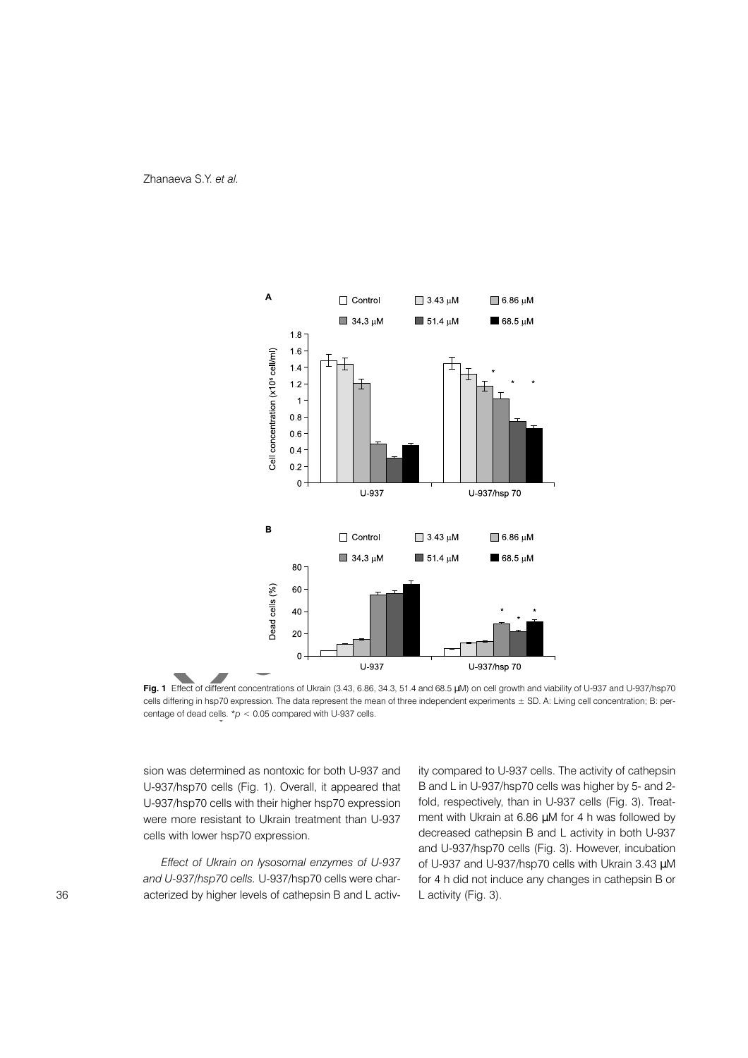



Fig. 1 Effect of different concentrations of Ukrain (3.43, 6.86, 34.3, 51.4 and 68.5 µM) on cell growth and viability of U-937 and U-937/hsp70 cells differing in hsp70 expression. The data represent the mean of three independent experiments ± SD. A: Living cell concentration; B: percentage of dead cells. \* $p < 0.05$  compared with U-937 cells.

sion was determined as nontoxic for both U-937 and U-937/hsp70 cells (Fig. 1). Overall, it appeared that U-937/hsp70 cells with their higher hsp70 expression were more resistant to Ukrain treatment than U-937 cells with lower hsp70 expression.

Effect of Ukrain on lysosomal enzymes of U-937 and U-937/hsp70 cells. U-937/hsp70 cells were characterized by higher levels of cathepsin B and L activity compared to U-937 cells. The activity of cathepsin B and L in U-937/hsp70 cells was higher by 5- and 2fold, respectively, than in U-937 cells (Fig. 3). Treatment with Ukrain at 6.86 µM for 4 h was followed by decreased cathepsin B and L activity in both U-937 and U-937/hsp70 cells (Fig. 3). However, incubation of U-937 and U-937/hsp70 cells with Ukrain 3.43 µM for 4 h did not induce any changes in cathepsin B or L activity (Fig. 3).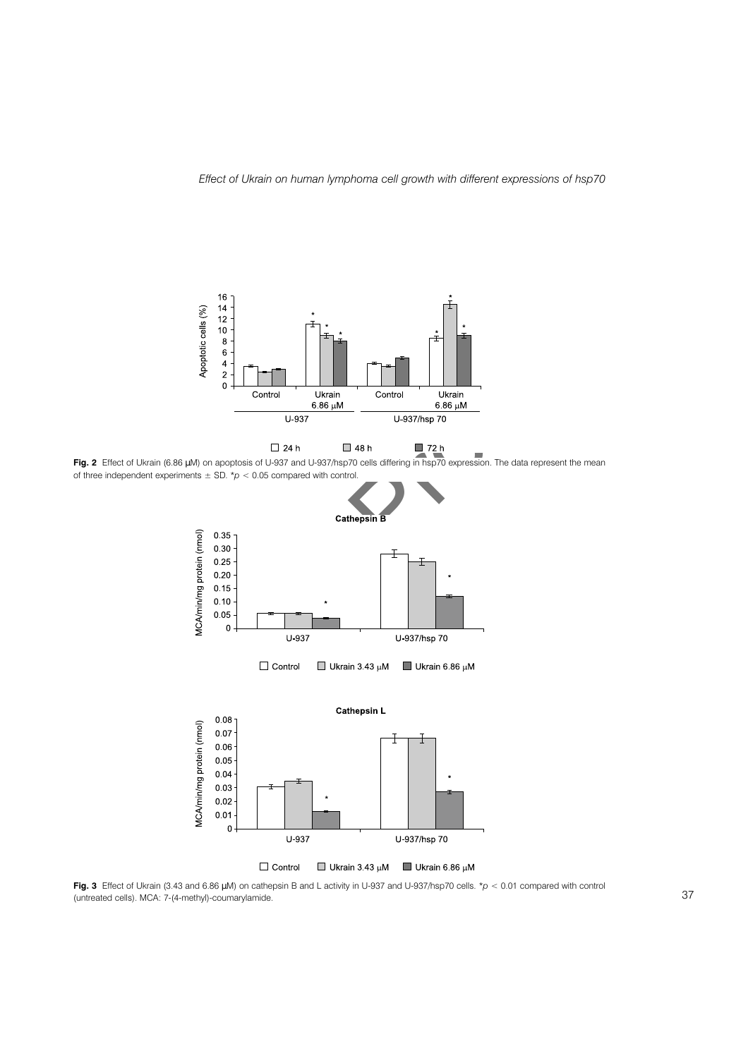

Fig. 3 Effect of Ukrain (3.43 and 6.86 µM) on cathepsin B and L activity in U-937 and U-937/hsp70 cells. \*p < 0.01 compared with control (untreated cells). MCA: 7-(4-methyl)-coumarylamide.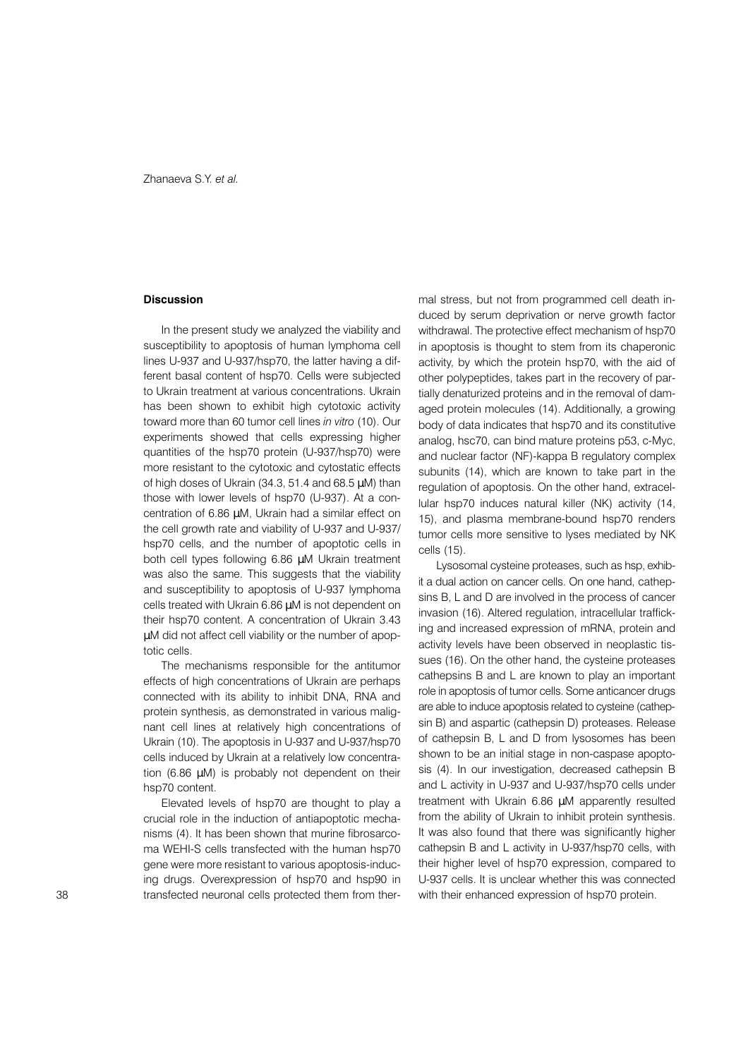#### **Discussion**

In the present study we analyzed the viability and susceptibility to apoptosis of human lymphoma cell lines U-937 and U-937/hsp70, the latter having a different basal content of hsp70. Cells were subjected to Ukrain treatment at various concentrations. Ukrain has been shown to exhibit high cytotoxic activity toward more than 60 tumor cell lines in vitro (10). Our experiments showed that cells expressing higher quantities of the hsp70 protein (U-937/hsp70) were more resistant to the cytotoxic and cytostatic effects of high doses of Ukrain (34.3, 51.4 and 68.5 µM) than those with lower levels of hsp70 (U-937). At a concentration of 6.86 µM, Ukrain had a similar effect on the cell growth rate and viability of U-937 and U-937/ hsp70 cells, and the number of apoptotic cells in both cell types following 6.86 µM Ukrain treatment was also the same. This suggests that the viability and susceptibility to apoptosis of U-937 lymphoma cells treated with Ukrain 6.86 µM is not dependent on their hsp70 content. A concentration of Ukrain 3.43 µM did not affect cell viability or the number of apoptotic cells.

The mechanisms responsible for the antitumor effects of high concentrations of Ukrain are perhaps connected with its ability to inhibit DNA, RNA and protein synthesis, as demonstrated in various malignant cell lines at relatively high concentrations of Ukrain (10). The apoptosis in U-937 and U-937/hsp70 cells induced by Ukrain at a relatively low concentration (6.86 uM) is probably not dependent on their hsp70 content.

Elevated levels of hsp70 are thought to play a crucial role in the induction of antiapoptotic mechanisms (4). It has been shown that murine fibrosarcoma WEHI-S cells transfected with the human hsp70 gene were more resistant to various apoptosis-inducing drugs. Overexpression of hsp70 and hsp90 in transfected neuronal cells protected them from thermal stress, but not from programmed cell death induced by serum deprivation or nerve growth factor withdrawal. The protective effect mechanism of hsp70 in apoptosis is thought to stem from its chaperonic activity, by which the protein hsp70, with the aid of other polypeptides, takes part in the recovery of partially denaturized proteins and in the removal of damaged protein molecules (14). Additionally, a growing body of data indicates that hsp70 and its constitutive analog, hsc70, can bind mature proteins p53, c-Myc, and nuclear factor (NF)-kappa B regulatory complex subunits (14), which are known to take part in the regulation of apoptosis. On the other hand, extracellular hsp70 induces natural killer (NK) activity (14. 15), and plasma membrane-bound hsp70 renders tumor cells more sensitive to lyses mediated by NK cells (15).

Lysosomal cysteine proteases, such as hsp, exhibit a dual action on cancer cells. On one hand, cathepsins B, L and D are involved in the process of cancer invasion (16). Altered regulation, intracellular trafficking and increased expression of mRNA, protein and activity levels have been observed in neoplastic tissues (16). On the other hand, the cysteine proteases cathepsins B and L are known to play an important role in apoptosis of tumor cells. Some anticancer drugs are able to induce apoptosis related to cysteine (cathepsin B) and aspartic (cathepsin D) proteases. Release of cathepsin B, L and D from lysosomes has been shown to be an initial stage in non-caspase apoptosis (4). In our investigation, decreased cathepsin B and L activity in U-937 and U-937/hsp70 cells under treatment with Ukrain 6.86 µM apparently resulted from the ability of Ukrain to inhibit protein synthesis. It was also found that there was significantly higher cathepsin B and L activity in U-937/hsp70 cells, with their higher level of hsp70 expression, compared to U-937 cells. It is unclear whether this was connected with their enhanced expression of hsp70 protein.